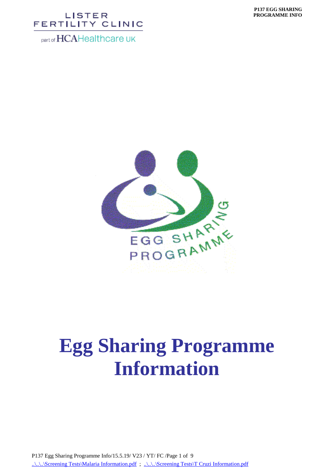part of HCAHealthcare UK



# **Egg Sharing Programme Information**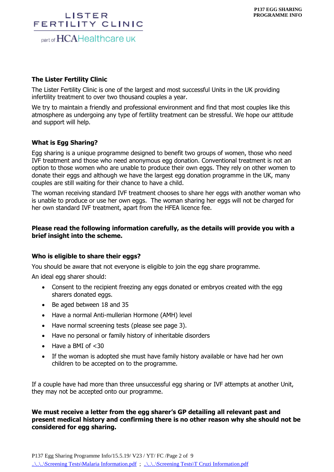part of HCAHealthcare UK

#### **The Lister Fertility Clinic**

The Lister Fertility Clinic is one of the largest and most successful Units in the UK providing infertility treatment to over two thousand couples a year.

We try to maintain a friendly and professional environment and find that most couples like this atmosphere as undergoing any type of fertility treatment can be stressful. We hope our attitude and support will help.

#### **What is Egg Sharing?**

Egg sharing is a unique programme designed to benefit two groups of women, those who need IVF treatment and those who need anonymous egg donation. Conventional treatment is not an option to those women who are unable to produce their own eggs. They rely on other women to donate their eggs and although we have the largest egg donation programme in the UK, many couples are still waiting for their chance to have a child.

The woman receiving standard IVF treatment chooses to share her eggs with another woman who is unable to produce or use her own eggs. The woman sharing her eggs will not be charged for her own standard IVF treatment, apart from the HFEA licence fee.

#### **Please read the following information carefully, as the details will provide you with a brief insight into the scheme.**

#### **Who is eligible to share their eggs?**

You should be aware that not everyone is eligible to join the egg share programme.

An ideal egg sharer should:

- Consent to the recipient freezing any eggs donated or embryos created with the egg sharers donated eggs.
- Be aged between 18 and 35
- Have a normal Anti-mullerian Hormone (AMH) level
- Have normal screening tests (please see page 3).
- Have no personal or family history of inheritable disorders
- Have a BMI of  $<$ 30
- If the woman is adopted she must have family history available or have had her own children to be accepted on to the programme.

If a couple have had more than three unsuccessful egg sharing or IVF attempts at another Unit, they may not be accepted onto our programme.

**We must receive a letter from the egg sharer's GP detailing all relevant past and present medical history and confirming there is no other reason why she should not be considered for egg sharing.**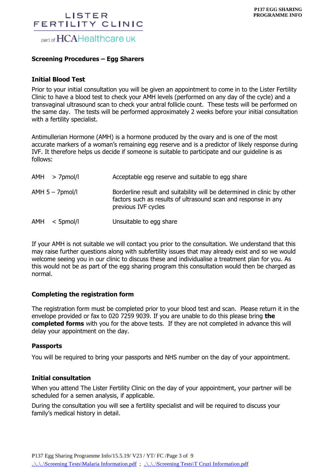# LISTER FERTILITY CLINIC part of HCAHealthcare UK

#### **Screening Procedures – Egg Sharers**

#### **Initial Blood Test**

Prior to your initial consultation you will be given an appointment to come in to the Lister Fertility Clinic to have a blood test to check your AMH levels (performed on any day of the cycle) and a transvaginal ultrasound scan to check your antral follicle count. These tests will be performed on the same day. The tests will be performed approximately 2 weeks before your initial consultation with a fertility specialist.

Antimullerian Hormone (AMH) is a hormone produced by the ovary and is one of the most accurate markers of a woman's remaining egg reserve and is a predictor of likely response during IVF. It therefore helps us decide if someone is suitable to participate and our guideline is as follows:

| AMH > 7pmol/l        | Acceptable egg reserve and suitable to egg share                                                                                                                 |
|----------------------|------------------------------------------------------------------------------------------------------------------------------------------------------------------|
| $AMH$ 5 – $7$ pmol/l | Borderline result and suitability will be determined in clinic by other<br>factors such as results of ultrasound scan and response in any<br>previous IVF cycles |
| AMH<br>$<$ 5pmol/l   | Unsuitable to egg share                                                                                                                                          |

If your AMH is not suitable we will contact you prior to the consultation. We understand that this may raise further questions along with subfertility issues that may already exist and so we would welcome seeing you in our clinic to discuss these and individualise a treatment plan for you. As this would not be as part of the egg sharing program this consultation would then be charged as normal.

#### **Completing the registration form**

The registration form must be completed prior to your blood test and scan. Please return it in the envelope provided or fax to 020 7259 9039. If you are unable to do this please bring **the completed forms** with you for the above tests. If they are not completed in advance this will delay your appointment on the day.

#### **Passports**

You will be required to bring your passports and NHS number on the day of your appointment.

#### **Initial consultation**

When you attend The Lister Fertility Clinic on the day of your appointment, your partner will be scheduled for a semen analysis, if applicable.

During the consultation you will see a fertility specialist and will be required to discuss your family's medical history in detail.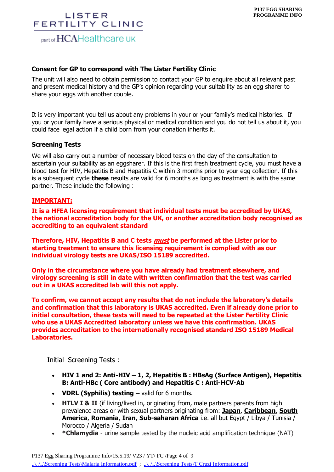part of HCAHealthcare UK

#### **Consent for GP to correspond with The Lister Fertility Clinic**

The unit will also need to obtain permission to contact your GP to enquire about all relevant past and present medical history and the GP's opinion regarding your suitability as an egg sharer to share your eggs with another couple.

It is very important you tell us about any problems in your or your family's medical histories. If you or your family have a serious physical or medical condition and you do not tell us about it, you could face legal action if a child born from your donation inherits it.

#### **Screening Tests**

We will also carry out a number of necessary blood tests on the day of the consultation to ascertain your suitability as an eggsharer. If this is the first fresh treatment cycle, you must have a blood test for HIV, Hepatitis B and Hepatitis C within 3 months prior to your egg collection. If this is a subsequent cycle **these** results are valid for 6 months as long as treatment is with the same partner. These include the following :

#### **IMPORTANT:**

**It is a HFEA licensing requirement that individual tests must be accredited by UKAS, the national accreditation body for the UK, or another accreditation body recognised as accrediting to an equivalent standard**

**Therefore, HIV, Hepatitis B and C tests must be performed at the Lister prior to starting treatment to ensure this licensing requirement is complied with as our individual virology tests are UKAS/ISO 15189 accredited.**

**Only in the circumstance where you have already had treatment elsewhere, and virology screening is still in date with written confirmation that the test was carried out in a UKAS accredited lab will this not apply.**

**To confirm, we cannot accept any results that do not include the laboratory's details and confirmation that this laboratory is UKAS accredited. Even if already done prior to initial consultation, these tests will need to be repeated at the Lister Fertility Clinic who use a UKAS Accredited laboratory unless we have this confirmation. UKAS provides accreditation to the internationally recognised standard ISO 15189 Medical Laboratories.**

Initial Screening Tests :

- **HIV 1 and 2: Anti-HIV – 1, 2, Hepatitis B : HBsAg (Surface Antigen), Hepatitis B: Anti-HBc ( Core antibody) and Hepatitis C : Anti-HCV-Ab**
- **VDRL (Syphilis) testing –** valid for 6 months.
- **HTLV I & II** (if living/lived in, originating from, male partners parents from high prevalence areas or with sexual partners originating from: **Japan**, **Caribbean**, **South America**, **Romania**, **Iran**, **Sub-saharan Africa** i.e. all but Egypt / Libya / Tunisia / Morocco / Algeria / Sudan
- **\*Chlamydia**  urine sample tested by the nucleic acid amplification technique (NAT)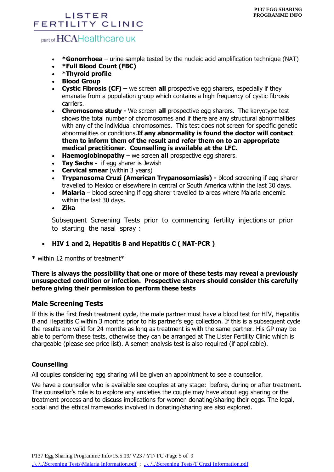## part of HCAHealthcare UK

- **\*Gonorrhoea**  urine sample tested by the nucleic acid amplification technique (NAT)
- **\*Full Blood Count (FBC)**
- **\*Thyroid profile**
- **Blood Group**
- **Cystic Fibrosis (CF) –** we screen **all** prospective egg sharers, especially if they emanate from a population group which contains a high frequency of cystic fibrosis carriers.
- **Chromosome study -** We screen **all** prospective egg sharers.The karyotype test shows the total number of chromosomes and if there are any structural abnormalities with any of the individual chromosomes. This test does not screen for specific genetic abnormalities or conditions.**If any abnormality is found the doctor will contact them to inform them of the result and refer them on to an appropriate medical practitioner. Counselling is available at the LFC.**
- **Haemoglobinopathy** we screen **all** prospective egg sharers.
- **Tay Sachs -** if egg sharer is Jewish
- **Cervical smear** (within 3 years)
- **Trypanosoma Cruzi (American Trypanosomiasis) -** blood screening if egg sharer travelled to Mexico or elsewhere in central or South America within the last 30 days.
- **Malaria**  blood screening if egg sharer travelled to areas where Malaria endemic within the last 30 days.
- **Zika**

Subsequent Screening Tests prior to commencing fertility injections or prior to starting the nasal spray :

#### **HIV 1 and 2, Hepatitis B and Hepatitis C ( NAT-PCR )**

**\*** within 12 months of treatment\*

#### **There is always the possibility that one or more of these tests may reveal a previously unsuspected condition or infection. Prospective sharers should consider this carefully before giving their permission to perform these tests**

#### **Male Screening Tests**

If this is the first fresh treatment cycle, the male partner must have a blood test for HIV, Hepatitis B and Hepatitis C within 3 months prior to his partner's egg collection. If this is a subsequent cycle the results are valid for 24 months as long as treatment is with the same partner. His GP may be able to perform these tests, otherwise they can be arranged at The Lister Fertility Clinic which is chargeable (please see price list). A semen analysis test is also required (if applicable).

#### **Counselling**

All couples considering egg sharing will be given an appointment to see a counsellor.

We have a counsellor who is available see couples at any stage: before, during or after treatment. The counsellor's role is to explore any anxieties the couple may have about egg sharing or the treatment process and to discuss implications for women donating/sharing their eggs. The legal, social and the ethical frameworks involved in donating/sharing are also explored.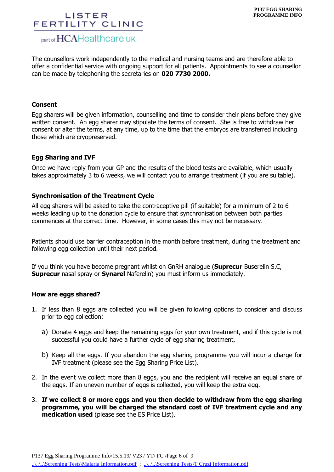## part of HCAHealthcare UK

The counsellors work independently to the medical and nursing teams and are therefore able to offer a confidential service with ongoing support for all patients. Appointments to see a counsellor can be made by telephoning the secretaries on **020 7730 2000.** 

#### **Consent**

Egg sharers will be given information, counselling and time to consider their plans before they give written consent. An egg sharer may stipulate the terms of consent. She is free to withdraw her consent or alter the terms, at any time, up to the time that the embryos are transferred including those which are cryopreserved.

#### **Egg Sharing and IVF**

Once we have reply from your GP and the results of the blood tests are available, which usually takes approximately 3 to 6 weeks, we will contact you to arrange treatment (if you are suitable).

#### **Synchronisation of the Treatment Cycle**

All egg sharers will be asked to take the contraceptive pill (if suitable) for a minimum of 2 to 6 weeks leading up to the donation cycle to ensure that synchronisation between both parties commences at the correct time. However, in some cases this may not be necessary.

Patients should use barrier contraception in the month before treatment, during the treatment and following egg collection until their next period.

If you think you have become pregnant whilst on GnRH analogue (**Suprecur** Buserelin S.C, **Suprecur** nasal spray or **Synarel** Naferelin) you must inform us immediately.

#### **How are eggs shared?**

- 1. If less than 8 eggs are collected you will be given following options to consider and discuss prior to egg collection:
	- a) Donate 4 eggs and keep the remaining eggs for your own treatment, and if this cycle is not successful you could have a further cycle of egg sharing treatment,
	- b) Keep all the eggs. If you abandon the egg sharing programme you will incur a charge for IVF treatment (please see the Egg Sharing Price List).
- 2. In the event we collect more than 8 eggs, you and the recipient will receive an equal share of the eggs. If an uneven number of eggs is collected, you will keep the extra egg.
- 3. **If we collect 8 or more eggs and you then decide to withdraw from the egg sharing programme, you will be charged the standard cost of IVF treatment cycle and any medication used** (please see the ES Price List).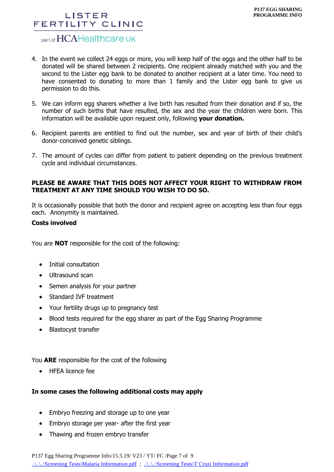## part of HCAHealthcare UK

- 4. In the event we collect 24 eggs or more, you will keep half of the eggs and the other half to be donated will be shared between 2 recipients. One recipient already matched with you and the second to the Lister egg bank to be donated to another recipient at a later time. You need to have consented to donating to more than 1 family and the Lister egg bank to give us permission to do this.
- 5. We can inform egg sharers whether a live birth has resulted from their donation and if so, the number of such births that have resulted, the sex and the year the children were born. This information will be available upon request only, following **your donation.**
- 6. Recipient parents are entitled to find out the number, sex and year of birth of their child's donor-conceived genetic siblings.
- 7. The amount of cycles can differ from patient to patient depending on the previous treatment cycle and individual circumstances.

#### **PLEASE BE AWARE THAT THIS DOES NOT AFFECT YOUR RIGHT TO WITHDRAW FROM TREATMENT AT ANY TIME SHOULD YOU WISH TO DO SO.**

It is occasionally possible that both the donor and recipient agree on accepting less than four eggs each. Anonymity is maintained.

#### **Costs involved**

You are **NOT** responsible for the cost of the following:

- Initial consultation
- Ultrasound scan
- Semen analysis for your partner
- Standard IVF treatment
- Your fertility drugs up to pregnancy test
- Blood tests required for the egg sharer as part of the Egg Sharing Programme
- Blastocyst transfer

You **ARE** responsible for the cost of the following

• HFEA licence fee

#### **In some cases the following additional costs may apply**

- Embryo freezing and storage up to one year
- Embryo storage per year- after the first year
- Thawing and frozen embryo transfer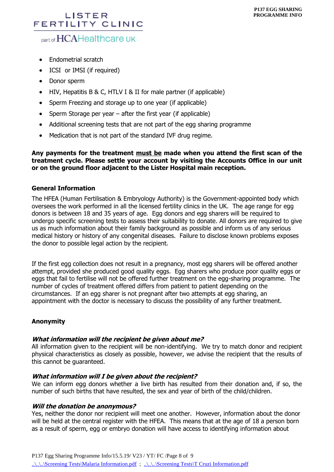# part of HCAHealthcare UK

- Endometrial scratch
- ICSI or IMSI (if required)
- Donor sperm
- HIV, Hepatitis B & C, HTLV I & II for male partner (if applicable)
- Sperm Freezing and storage up to one year (if applicable)
- Sperm Storage per year  $-$  after the first year (if applicable)
- Additional screening tests that are not part of the egg sharing programme
- Medication that is not part of the standard IVF drug regime.

**Any payments for the treatment must be made when you attend the first scan of the treatment cycle. Please settle your account by visiting the Accounts Office in our unit or on the ground floor adjacent to the Lister Hospital main reception.**

#### **General Information**

The HFEA (Human Fertilisation & Embryology Authority) is the Government-appointed body which oversees the work performed in all the licensed fertility clinics in the UK. The age range for egg donors is between 18 and 35 years of age. Egg donors and egg sharers will be required to undergo specific screening tests to assess their suitability to donate. All donors are required to give us as much information about their family background as possible and inform us of any serious medical history or history of any congenital diseases. Failure to disclose known problems exposes the donor to possible legal action by the recipient.

If the first egg collection does not result in a pregnancy, most egg sharers will be offered another attempt, provided she produced good quality eggs. Egg sharers who produce poor quality eggs or eggs that fail to fertilise will not be offered further treatment on the egg-sharing programme. The number of cycles of treatment offered differs from patient to patient depending on the circumstances. If an egg sharer is not pregnant after two attempts at egg sharing, an appointment with the doctor is necessary to discuss the possibility of any further treatment.

#### **Anonymity**

#### **What information will the recipient be given about me?**

All information given to the recipient will be non-identifying. We try to match donor and recipient physical characteristics as closely as possible, however, we advise the recipient that the results of this cannot be guaranteed.

#### **What information will I be given about the recipient?**

We can inform egg donors whether a live birth has resulted from their donation and, if so, the number of such births that have resulted, the sex and year of birth of the child/children.

#### **Will the donation be anonymous?**

Yes, neither the donor nor recipient will meet one another. However, information about the donor will be held at the central register with the HFEA. This means that at the age of 18 a person born as a result of sperm, egg or embryo donation will have access to identifying information about